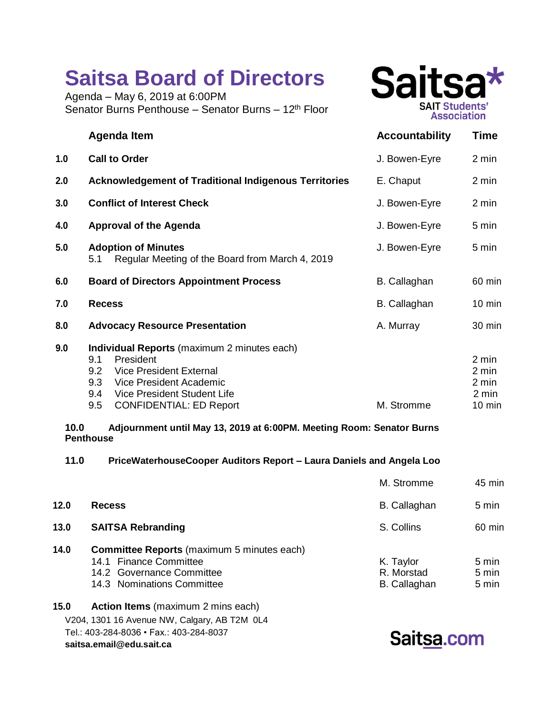## **Saitsa Board of Directors**

Agenda – May 6, 2019 at 6:00PM Senator Burns Penthouse – Senator Burns – 12<sup>th</sup> Floor



|     | <b>Agenda Item</b>                                                                                                                                                                                                        | <b>Accountability</b> | <b>Time</b>                                          |
|-----|---------------------------------------------------------------------------------------------------------------------------------------------------------------------------------------------------------------------------|-----------------------|------------------------------------------------------|
| 1.0 | <b>Call to Order</b>                                                                                                                                                                                                      | J. Bowen-Eyre         | 2 min                                                |
| 2.0 | <b>Acknowledgement of Traditional Indigenous Territories</b>                                                                                                                                                              | E. Chaput             | 2 min                                                |
| 3.0 | <b>Conflict of Interest Check</b>                                                                                                                                                                                         | J. Bowen-Eyre         | 2 min                                                |
| 4.0 | <b>Approval of the Agenda</b>                                                                                                                                                                                             | J. Bowen-Eyre         | 5 min                                                |
| 5.0 | <b>Adoption of Minutes</b><br>Regular Meeting of the Board from March 4, 2019<br>5.1                                                                                                                                      | J. Bowen-Eyre         | 5 min                                                |
| 6.0 | <b>Board of Directors Appointment Process</b>                                                                                                                                                                             | B. Callaghan          | 60 min                                               |
| 7.0 | <b>Recess</b>                                                                                                                                                                                                             | <b>B.</b> Callaghan   | $10 \text{ min}$                                     |
| 8.0 | <b>Advocacy Resource Presentation</b>                                                                                                                                                                                     | A. Murray             | 30 min                                               |
| 9.0 | Individual Reports (maximum 2 minutes each)<br>President<br>9.1<br><b>Vice President External</b><br>9.2<br>Vice President Academic<br>9.3<br>Vice President Student Life<br>9.4<br>9.5<br><b>CONFIDENTIAL: ED Report</b> | M. Stromme            | 2 min<br>2 min<br>2 min<br>2 min<br>$10 \text{ min}$ |

## **10.0 Adjournment until May 13, 2019 at 6:00PM. Meeting Room: Senator Burns Penthouse**

**11.0 PriceWaterhouseCooper Auditors Report – Laura Daniels and Angela Loo**

|      |                                                                                                                                        | M. Stromme                                     | 45 min                  |
|------|----------------------------------------------------------------------------------------------------------------------------------------|------------------------------------------------|-------------------------|
| 12.0 | <b>Recess</b>                                                                                                                          | <b>B.</b> Callaghan                            | 5 min                   |
| 13.0 | <b>SAITSA Rebranding</b>                                                                                                               | S. Collins                                     | 60 min                  |
| 14.0 | <b>Committee Reports</b> (maximum 5 minutes each)<br>14.1 Finance Committee<br>14.2 Governance Committee<br>14.3 Nominations Committee | K. Taylor<br>R. Morstad<br><b>B.</b> Callaghan | 5 min<br>5 min<br>5 min |
|      |                                                                                                                                        |                                                |                         |

V204, 1301 16 Avenue NW, Calgary, AB T2M 0L4 Tel.: 403-284-8036 • Fax.: 403-284-8037 **saitsa.email@edu.sait.ca 15.0 Action Items** (maximum 2 mins each)

Saitsa.com